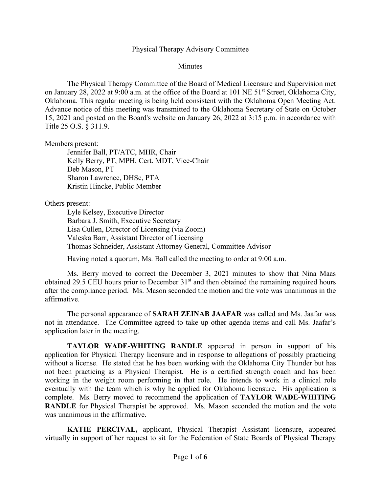## Physical Therapy Advisory Committee

**Minutes** 

The Physical Therapy Committee of the Board of Medical Licensure and Supervision met on January 28, 2022 at 9:00 a.m. at the office of the Board at 101 NE 51<sup>st</sup> Street, Oklahoma City, Oklahoma. This regular meeting is being held consistent with the Oklahoma Open Meeting Act. Advance notice of this meeting was transmitted to the Oklahoma Secretary of State on October 15, 2021 and posted on the Board's website on January 26, 2022 at 3:15 p.m. in accordance with Title 25 O.S. § 311.9.

Members present:

Jennifer Ball, PT/ATC, MHR, Chair Kelly Berry, PT, MPH, Cert. MDT, Vice-Chair Deb Mason, PT Sharon Lawrence, DHSc, PTA Kristin Hincke, Public Member

# Others present:

Lyle Kelsey, Executive Director Barbara J. Smith, Executive Secretary Lisa Cullen, Director of Licensing (via Zoom) Valeska Barr, Assistant Director of Licensing Thomas Schneider, Assistant Attorney General, Committee Advisor

Having noted a quorum, Ms. Ball called the meeting to order at 9:00 a.m.

Ms. Berry moved to correct the December 3, 2021 minutes to show that Nina Maas obtained 29.5 CEU hours prior to December 31<sup>st</sup> and then obtained the remaining required hours after the compliance period. Ms. Mason seconded the motion and the vote was unanimous in the affirmative.

The personal appearance of **SARAH ZEINAB JAAFAR** was called and Ms. Jaafar was not in attendance. The Committee agreed to take up other agenda items and call Ms. Jaafar's application later in the meeting.

**TAYLOR WADE-WHITING RANDLE** appeared in person in support of his application for Physical Therapy licensure and in response to allegations of possibly practicing without a license. He stated that he has been working with the Oklahoma City Thunder but has not been practicing as a Physical Therapist. He is a certified strength coach and has been working in the weight room performing in that role. He intends to work in a clinical role eventually with the team which is why he applied for Oklahoma licensure. His application is complete. Ms. Berry moved to recommend the application of **TAYLOR WADE-WHITING RANDLE** for Physical Therapist be approved. Ms. Mason seconded the motion and the vote was unanimous in the affirmative.

**KATIE PERCIVAL,** applicant, Physical Therapist Assistant licensure, appeared virtually in support of her request to sit for the Federation of State Boards of Physical Therapy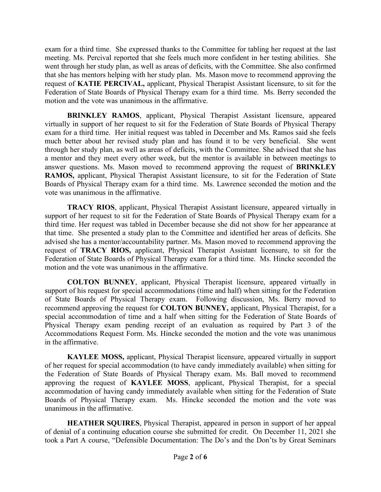exam for a third time. She expressed thanks to the Committee for tabling her request at the last meeting. Ms. Percival reported that she feels much more confident in her testing abilities. She went through her study plan, as well as areas of deficits, with the Committee. She also confirmed that she has mentors helping with her study plan. Ms. Mason move to recommend approving the request of **KATIE PERCIVAL,** applicant, Physical Therapist Assistant licensure, to sit for the Federation of State Boards of Physical Therapy exam for a third time. Ms. Berry seconded the motion and the vote was unanimous in the affirmative.

**BRINKLEY RAMOS**, applicant, Physical Therapist Assistant licensure, appeared virtually in support of her request to sit for the Federation of State Boards of Physical Therapy exam for a third time. Her initial request was tabled in December and Ms. Ramos said she feels much better about her revised study plan and has found it to be very beneficial. She went through her study plan, as well as areas of deficits, with the Committee. She advised that she has a mentor and they meet every other week, but the mentor is available in between meetings to answer questions. Ms. Mason moved to recommend approving the request of **BRINKLEY RAMOS,** applicant, Physical Therapist Assistant licensure, to sit for the Federation of State Boards of Physical Therapy exam for a third time. Ms. Lawrence seconded the motion and the vote was unanimous in the affirmative.

**TRACY RIOS**, applicant, Physical Therapist Assistant licensure, appeared virtually in support of her request to sit for the Federation of State Boards of Physical Therapy exam for a third time. Her request was tabled in December because she did not show for her appearance at that time. She presented a study plan to the Committee and identified her areas of deficits. She advised she has a mentor/accountability partner. Ms. Mason moved to recommend approving the request of **TRACY RIOS,** applicant, Physical Therapist Assistant licensure, to sit for the Federation of State Boards of Physical Therapy exam for a third time. Ms. Hincke seconded the motion and the vote was unanimous in the affirmative.

**COLTON BUNNEY**, applicant, Physical Therapist licensure, appeared virtually in support of his request for special accommodations (time and half) when sitting for the Federation of State Boards of Physical Therapy exam. Following discussion, Ms. Berry moved to recommend approving the request for **COLTON BUNNEY,** applicant, Physical Therapist, for a special accommodation of time and a half when sitting for the Federation of State Boards of Physical Therapy exam pending receipt of an evaluation as required by Part 3 of the Accommodations Request Form. Ms. Hincke seconded the motion and the vote was unanimous in the affirmative.

**KAYLEE MOSS,** applicant, Physical Therapist licensure, appeared virtually in support of her request for special accommodation (to have candy immediately available) when sitting for the Federation of State Boards of Physical Therapy exam. Ms. Ball moved to recommend approving the request of **KAYLEE MOSS**, applicant, Physical Therapist, for a special accommodation of having candy immediately available when sitting for the Federation of State Boards of Physical Therapy exam. Ms. Hincke seconded the motion and the vote was unanimous in the affirmative.

**HEATHER SQUIRES**, Physical Therapist, appeared in person in support of her appeal of denial of a continuing education course she submitted for credit. On December 11, 2021 she took a Part A course, "Defensible Documentation: The Do's and the Don'ts by Great Seminars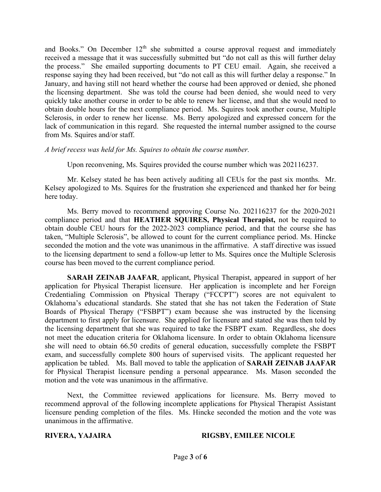and Books." On December  $12<sup>th</sup>$  she submitted a course approval request and immediately received a message that it was successfully submitted but "do not call as this will further delay the process." She emailed supporting documents to PT CEU email. Again, she received a response saying they had been received, but "do not call as this will further delay a response." In January, and having still not heard whether the course had been approved or denied, she phoned the licensing department. She was told the course had been denied, she would need to very quickly take another course in order to be able to renew her license, and that she would need to obtain double hours for the next compliance period. Ms. Squires took another course, Multiple Sclerosis, in order to renew her license. Ms. Berry apologized and expressed concern for the lack of communication in this regard. She requested the internal number assigned to the course from Ms. Squires and/or staff.

*A brief recess was held for Ms. Squires to obtain the course number.*

Upon reconvening, Ms. Squires provided the course number which was 202116237.

Mr. Kelsey stated he has been actively auditing all CEUs for the past six months. Mr. Kelsey apologized to Ms. Squires for the frustration she experienced and thanked her for being here today.

Ms. Berry moved to recommend approving Course No. 202116237 for the 2020-2021 compliance period and that **HEATHER SQUIRES, Physical Therapist,** not be required to obtain double CEU hours for the 2022-2023 compliance period, and that the course she has taken, "Multiple Sclerosis", be allowed to count for the current compliance period. Ms. Hincke seconded the motion and the vote was unanimous in the affirmative. A staff directive was issued to the licensing department to send a follow-up letter to Ms. Squires once the Multiple Sclerosis course has been moved to the current compliance period.

**SARAH ZEINAB JAAFAR**, applicant, Physical Therapist, appeared in support of her application for Physical Therapist licensure. Her application is incomplete and her Foreign Credentialing Commission on Physical Therapy ("FCCPT") scores are not equivalent to Oklahoma's educational standards. She stated that she has not taken the Federation of State Boards of Physical Therapy ("FSBPT") exam because she was instructed by the licensing department to first apply for licensure. She applied for licensure and stated she was then told by the licensing department that she was required to take the FSBPT exam. Regardless, she does not meet the education criteria for Oklahoma licensure. In order to obtain Oklahoma licensure she will need to obtain 66.50 credits of general education, successfully complete the FSBPT exam, and successfully complete 800 hours of supervised visits. The applicant requested her application be tabled. Ms. Ball moved to table the application of **SARAH ZEINAB JAAFAR** for Physical Therapist licensure pending a personal appearance. Ms. Mason seconded the motion and the vote was unanimous in the affirmative.

Next, the Committee reviewed applications for licensure. Ms. Berry moved to recommend approval of the following incomplete applications for Physical Therapist Assistant licensure pending completion of the files. Ms. Hincke seconded the motion and the vote was unanimous in the affirmative.

### **RIVERA, YAJAIRA RIGSBY, EMILEE NICOLE**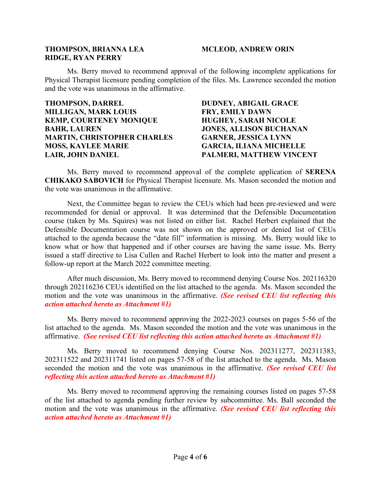## **THOMPSON, BRIANNA LEA RIDGE, RYAN PERRY**

## **MCLEOD, ANDREW ORIN**

Ms. Berry moved to recommend approval of the following incomplete applications for Physical Therapist licensure pending completion of the files. Ms. Lawrence seconded the motion and the vote was unanimous in the affirmative.

**THOMPSON, DARREL MILLIGAN, MARK LOUIS KEMP, COURTENEY MONIQUE BAHR, LAUREN MARTIN, CHRISTOPHER CHARLES MOSS, KAYLEE MARIE LAIR, JOHN DANIEL** 

**DUDNEY, ABIGAIL GRACE FRY, EMILY DAWN HUGHEY, SARAH NICOLE JONES, ALLISON BUCHANAN GARNER, JESSICA LYNN GARCIA, ILIANA MICHELLE PALMERI, MATTHEW VINCENT**

Ms. Berry moved to recommend approval of the complete application of **SERENA CHIKAKO SABOVICH** for Physical Therapist licensure. Ms. Mason seconded the motion and the vote was unanimous in the affirmative.

Next, the Committee began to review the CEUs which had been pre-reviewed and were recommended for denial or approval. It was determined that the Defensible Documentation course (taken by Ms. Squires) was not listed on either list. Rachel Herbert explained that the Defensible Documentation course was not shown on the approved or denied list of CEUs attached to the agenda because the "date fill" information is missing. Ms. Berry would like to know what or how that happened and if other courses are having the same issue. Ms. Berry issued a staff directive to Lisa Cullen and Rachel Herbert to look into the matter and present a follow-up report at the March 2022 committee meeting.

After much discussion, Ms. Berry moved to recommend denying Course Nos. 202116320 through 202116236 CEUs identified on the list attached to the agenda. Ms. Mason seconded the motion and the vote was unanimous in the affirmative. *(See revised CEU list reflecting this action attached hereto as Attachment #1)*

Ms. Berry moved to recommend approving the 2022-2023 courses on pages 5-56 of the list attached to the agenda. Ms. Mason seconded the motion and the vote was unanimous in the affirmative. *(See revised CEU list reflecting this action attached hereto as Attachment #1)*

Ms. Berry moved to recommend denying Course Nos. 202311277, 202311383, 202311522 and 202311741 listed on pages 57-58 of the list attached to the agenda. Ms. Mason seconded the motion and the vote was unanimous in the affirmative. *(See revised CEU list reflecting this action attached hereto as Attachment #1)*

Ms. Berry moved to recommend approving the remaining courses listed on pages 57-58 of the list attached to agenda pending further review by subcommittee. Ms. Ball seconded the motion and the vote was unanimous in the affirmative. *(See revised CEU list reflecting this action attached hereto as Attachment #1)*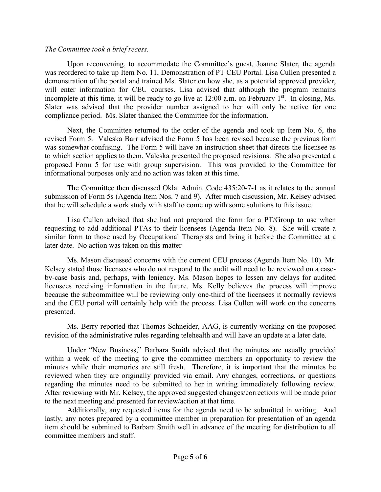# *The Committee took a brief recess.*

Upon reconvening, to accommodate the Committee's guest, Joanne Slater, the agenda was reordered to take up Item No. 11, Demonstration of PT CEU Portal. Lisa Cullen presented a demonstration of the portal and trained Ms. Slater on how she, as a potential approved provider, will enter information for CEU courses. Lisa advised that although the program remains incomplete at this time, it will be ready to go live at  $12:00$  a.m. on February  $1<sup>st</sup>$ . In closing, Ms. Slater was advised that the provider number assigned to her will only be active for one compliance period. Ms. Slater thanked the Committee for the information.

Next, the Committee returned to the order of the agenda and took up Item No. 6, the revised Form 5. Valeska Barr advised the Form 5 has been revised because the previous form was somewhat confusing. The Form 5 will have an instruction sheet that directs the licensee as to which section applies to them. Valeska presented the proposed revisions. She also presented a proposed Form 5 for use with group supervision. This was provided to the Committee for informational purposes only and no action was taken at this time.

The Committee then discussed Okla. Admin. Code 435:20-7-1 as it relates to the annual submission of Form 5s (Agenda Item Nos. 7 and 9). After much discussion, Mr. Kelsey advised that he will schedule a work study with staff to come up with some solutions to this issue.

Lisa Cullen advised that she had not prepared the form for a PT/Group to use when requesting to add additional PTAs to their licensees (Agenda Item No. 8). She will create a similar form to those used by Occupational Therapists and bring it before the Committee at a later date. No action was taken on this matter

Ms. Mason discussed concerns with the current CEU process (Agenda Item No. 10). Mr. Kelsey stated those licensees who do not respond to the audit will need to be reviewed on a caseby-case basis and, perhaps, with leniency. Ms. Mason hopes to lessen any delays for audited licensees receiving information in the future. Ms. Kelly believes the process will improve because the subcommittee will be reviewing only one-third of the licensees it normally reviews and the CEU portal will certainly help with the process. Lisa Cullen will work on the concerns presented.

Ms. Berry reported that Thomas Schneider, AAG, is currently working on the proposed revision of the administrative rules regarding telehealth and will have an update at a later date.

Under "New Business," Barbara Smith advised that the minutes are usually provided within a week of the meeting to give the committee members an opportunity to review the minutes while their memories are still fresh. Therefore, it is important that the minutes be reviewed when they are originally provided via email. Any changes, corrections, or questions regarding the minutes need to be submitted to her in writing immediately following review. After reviewing with Mr. Kelsey, the approved suggested changes/corrections will be made prior to the next meeting and presented for review/action at that time.

Additionally, any requested items for the agenda need to be submitted in writing. And lastly, any notes prepared by a committee member in preparation for presentation of an agenda item should be submitted to Barbara Smith well in advance of the meeting for distribution to all committee members and staff.